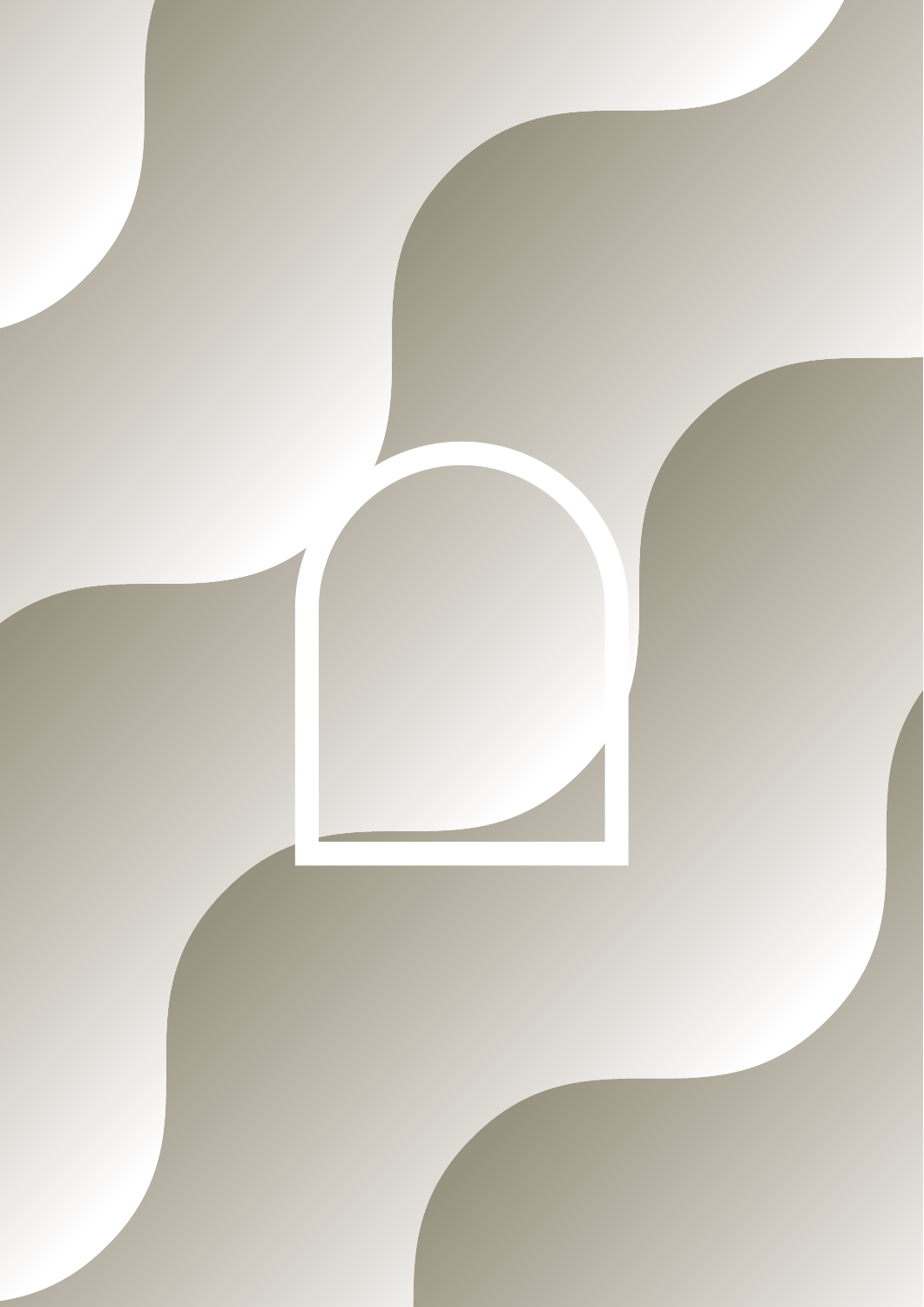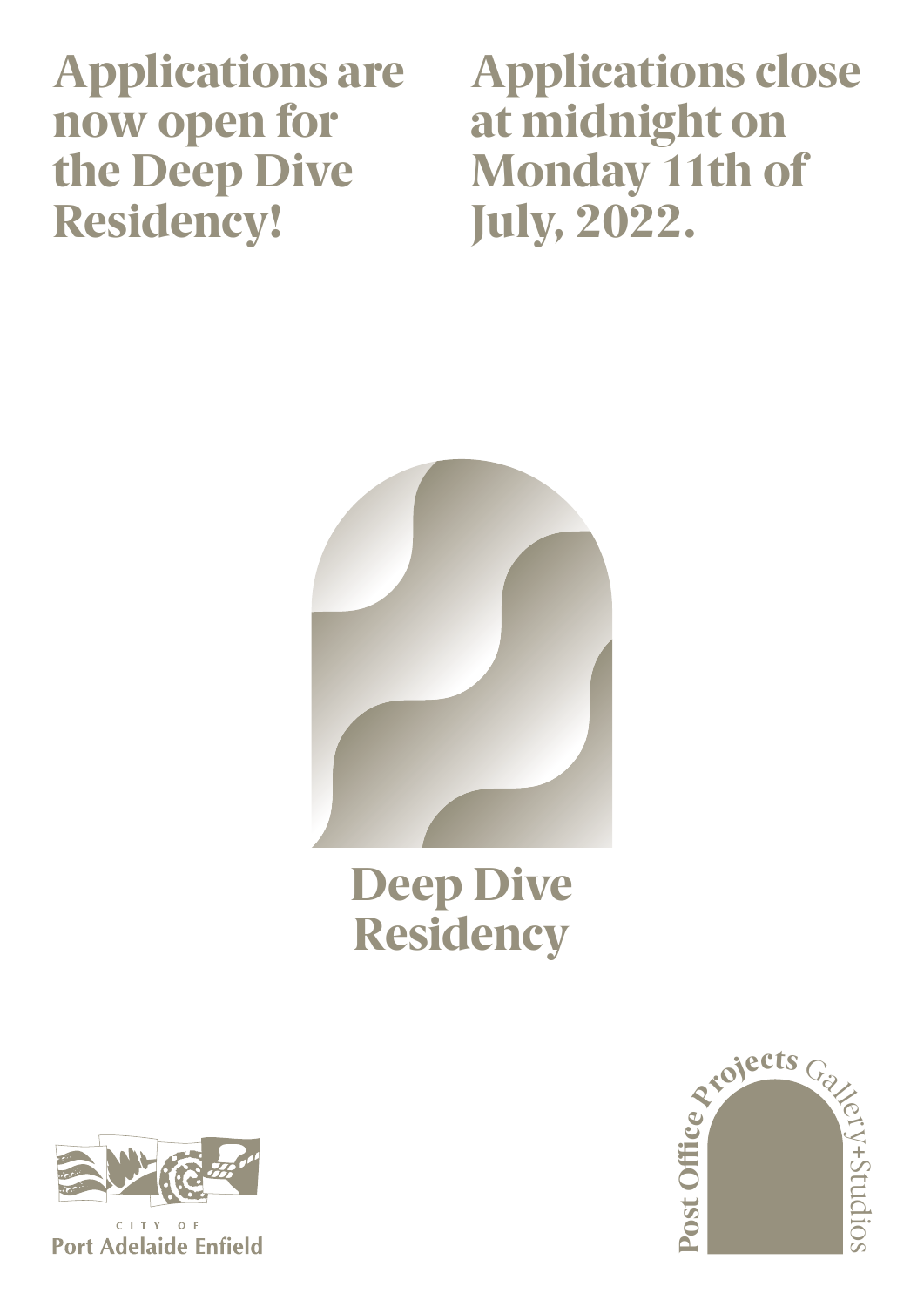**Applications are now open for the Deep Dive Residency!**

**Applications close at midnight on Monday 11th of July, 2022.**







**Port Adelaide Enfield** 

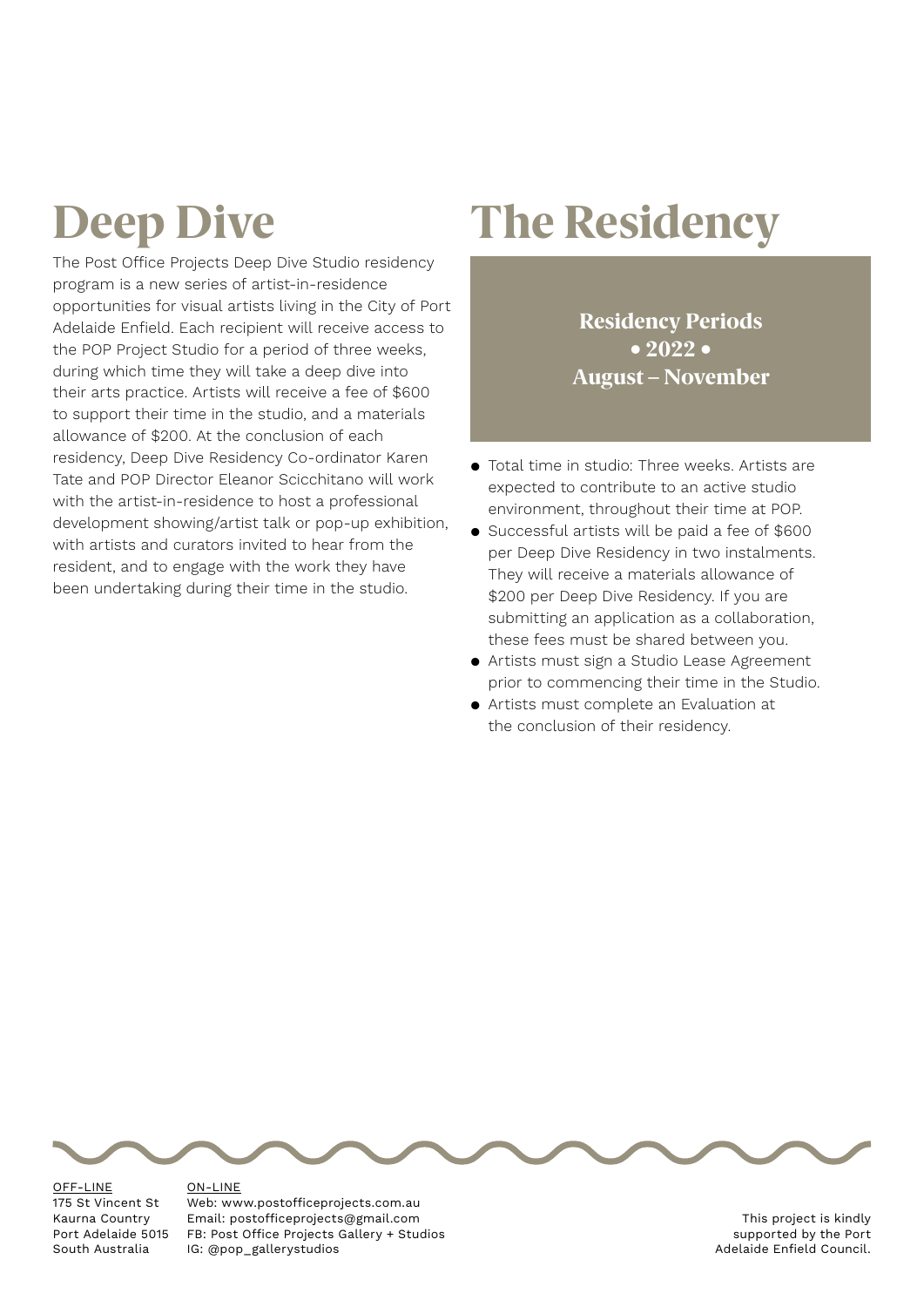# **Deep Dive**

The Post Office Projects Deep Dive Studio residency program is a new series of artist-in-residence opportunities for visual artists living in the City of Port Adelaide Enfield. Each recipient will receive access to the POP Project Studio for a period of three weeks, during which time they will take a deep dive into their arts practice. Artists will receive a fee of \$600 to support their time in the studio, and a materials allowance of \$200. At the conclusion of each residency, Deep Dive Residency Co-ordinator Karen Tate and POP Director Eleanor Scicchitano will work with the artist-in-residence to host a professional development showing/artist talk or pop-up exhibition, with artists and curators invited to hear from the resident, and to engage with the work they have been undertaking during their time in the studio.

## **The Residency**

**Residency Periods • 2022 • August – November**

- Total time in studio: Three weeks. Artists are expected to contribute to an active studio environment, throughout their time at POP.
- ⚫ Successful artists will be paid a fee of \$600 per Deep Dive Residency in two instalments. They will receive a materials allowance of \$200 per Deep Dive Residency. If you are submitting an application as a collaboration, these fees must be shared between you.
- ⚫ Artists must sign a Studio Lease Agreement prior to commencing their time in the Studio.
- ⚫ Artists must complete an Evaluation at the conclusion of their residency.



OFF-LINE 175 St Vincent St Kaurna Country Port Adelaide 5015 South Australia

ON-LINE Web: www.postofficeprojects.com.au Email: postofficeprojects@gmail.com FB: Post Office Projects Gallery + Studios IG: @pop\_gallerystudios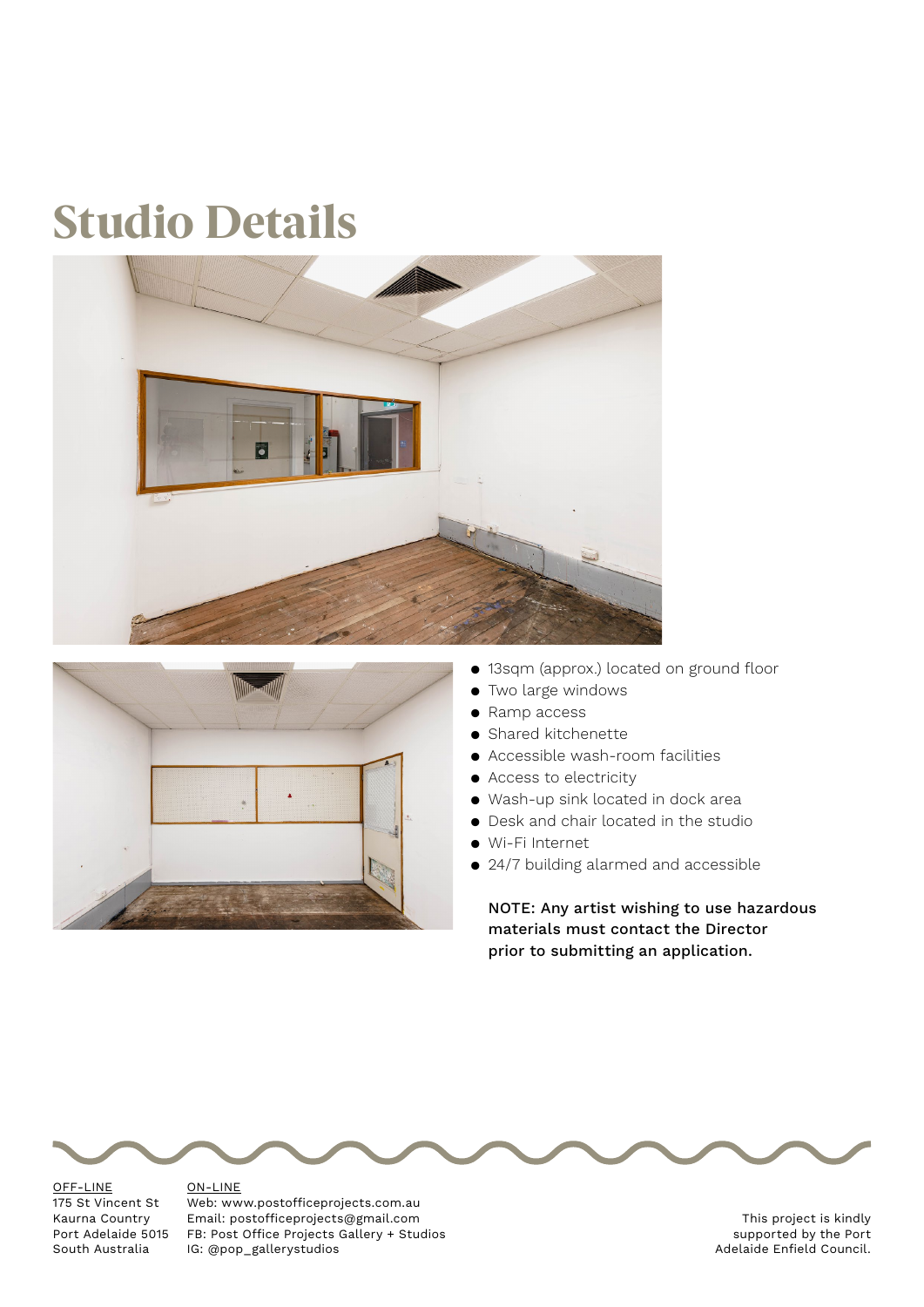### **Studio Details**





- ⚫ 13sqm (approx.) located on ground floor
- ⚫ Two large windows
- Ramp access
- ⚫ Shared kitchenette
- ⚫ Accessible wash-room facilities
- ⚫ Access to electricity
- ⚫ Wash-up sink located in dock area
- ⚫ Desk and chair located in the studio
- ⚫ Wi-Fi Internet
- 24/7 building alarmed and accessible

NOTE: Any artist wishing to use hazardous materials must contact the Director prior to submitting an application.



OFF-LINE 175 St Vincent St Kaurna Country Port Adelaide 5015 South Australia

ON-LINE Web: www.postofficeprojects.com.au Email: postofficeprojects@gmail.com FB: Post Office Projects Gallery + Studios IG: @pop\_gallerystudios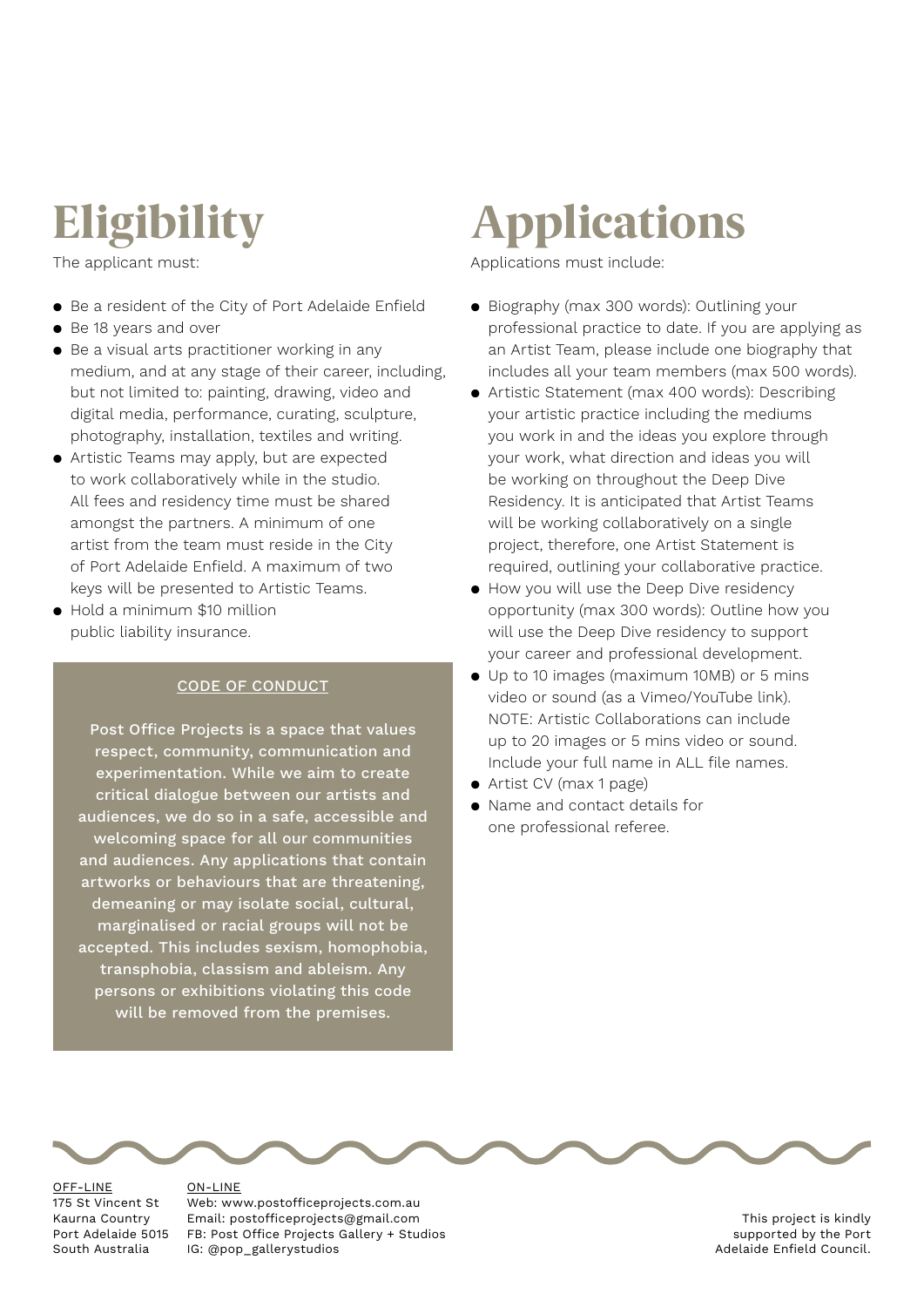

The applicant must:

- Be a resident of the City of Port Adelaide Enfield
- ⚫ Be 18 years and over
- Be a visual arts practitioner working in any medium, and at any stage of their career, including, but not limited to: painting, drawing, video and digital media, performance, curating, sculpture, photography, installation, textiles and writing.
- ⚫ Artistic Teams may apply, but are expected to work collaboratively while in the studio. All fees and residency time must be shared amongst the partners. A minimum of one artist from the team must reside in the City of Port Adelaide Enfield. A maximum of two keys will be presented to Artistic Teams.
- ⚫ Hold a minimum \$10 million public liability insurance.

#### CODE OF CONDUCT

Post Office Projects is a space that values respect, community, communication and experimentation. While we aim to create critical dialogue between our artists and audiences, we do so in a safe, accessible and welcoming space for all our communities and audiences. Any applications that contain artworks or behaviours that are threatening, demeaning or may isolate social, cultural, marginalised or racial groups will not be accepted. This includes sexism, homophobia, transphobia, classism and ableism. Any persons or exhibitions violating this code will be removed from the premises.

## **Applications**

Applications must include:

- Biography (max 300 words): Outlining your professional practice to date. If you are applying as an Artist Team, please include one biography that includes all your team members (max 500 words).
- ⚫ Artistic Statement (max 400 words): Describing your artistic practice including the mediums you work in and the ideas you explore through your work, what direction and ideas you will be working on throughout the Deep Dive Residency. It is anticipated that Artist Teams will be working collaboratively on a single project, therefore, one Artist Statement is required, outlining your collaborative practice.
- ⚫ How you will use the Deep Dive residency opportunity (max 300 words): Outline how you will use the Deep Dive residency to support your career and professional development.
- ⚫ Up to 10 images (maximum 10MB) or 5 mins video or sound (as a Vimeo/YouTube link). NOTE: Artistic Collaborations can include up to 20 images or 5 mins video or sound. Include your full name in ALL file names.
- ⚫ Artist CV (max 1 page)
- ⚫ Name and contact details for one professional referee.



OFF-LINE 175 St Vincent St Kaurna Country Port Adelaide 5015 South Australia

ON-LINE Web: www.postofficeprojects.com.au Email: postofficeprojects@gmail.com FB: Post Office Projects Gallery + Studios IG: @pop\_gallerystudios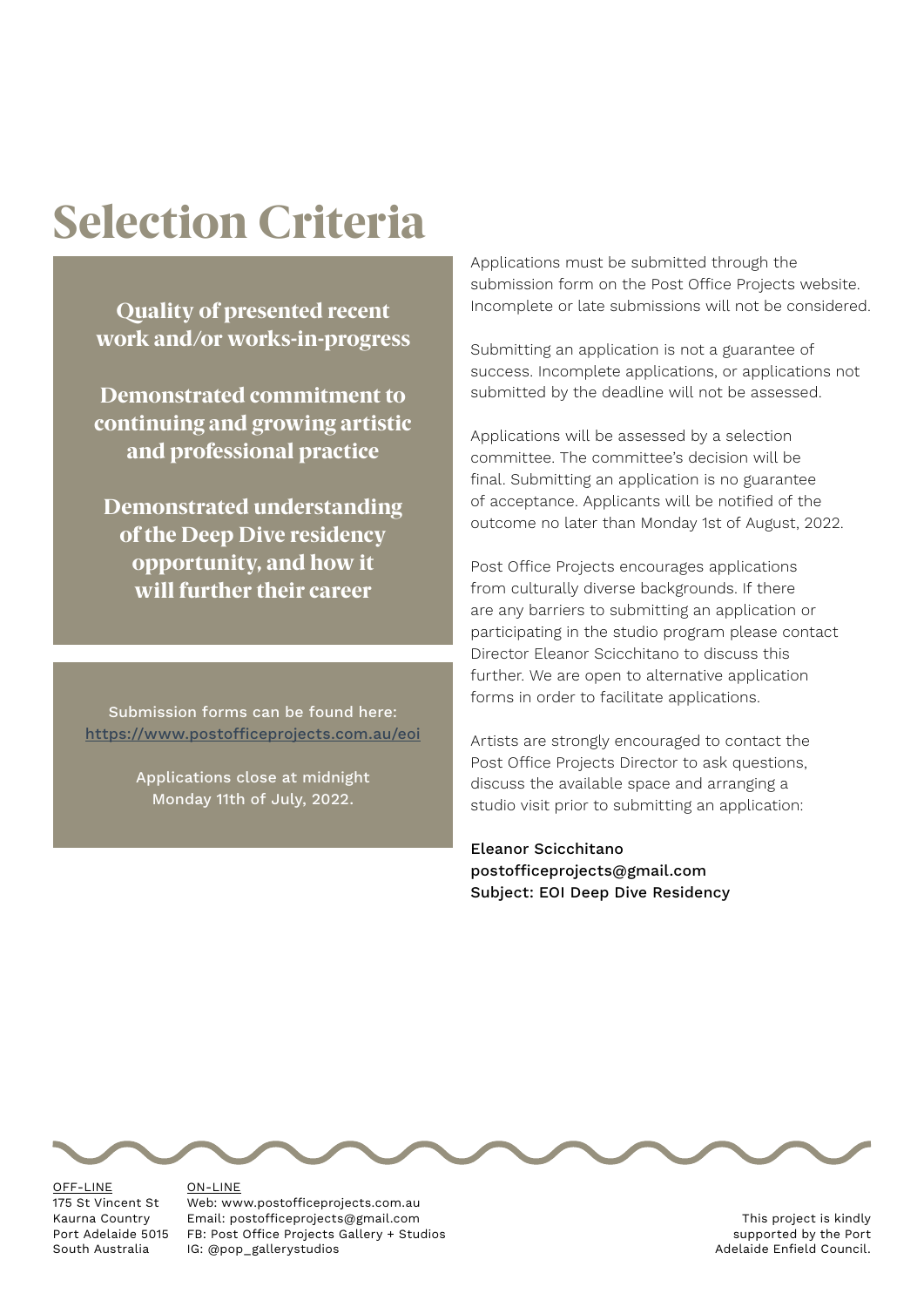### **Selection Criteria**

**Quality of presented recent work and/or works-in-progress**

**Demonstrated commitment to continuing and growing artistic and professional practice**

**Demonstrated understanding of the Deep Dive residency opportunity, and how it will further their career**

Submission forms can be found here: <https://www.postofficeprojects.com.au/eoi>

> Applications close at midnight Monday 11th of July, 2022.

Applications must be submitted through the submission form on the Post Office Projects website. Incomplete or late submissions will not be considered.

Submitting an application is not a guarantee of success. Incomplete applications, or applications not submitted by the deadline will not be assessed.

Applications will be assessed by a selection committee. The committee's decision will be final. Submitting an application is no guarantee of acceptance. Applicants will be notified of the outcome no later than Monday 1st of August, 2022.

Post Office Projects encourages applications from culturally diverse backgrounds. If there are any barriers to submitting an application or participating in the studio program please contact Director Eleanor Scicchitano to discuss this further. We are open to alternative application forms in order to facilitate applications.

Artists are strongly encouraged to contact the Post Office Projects Director to ask questions, discuss the available space and arranging a studio visit prior to submitting an application:

Eleanor Scicchitano postofficeprojects@gmail.com Subject: EOI Deep Dive Residency



OFF-LINE 175 St Vincent St Kaurna Country Port Adelaide 5015 South Australia

ON-LINE Web: www.postofficeprojects.com.au Email: postofficeprojects@gmail.com FB: Post Office Projects Gallery + Studios IG: @pop\_gallerystudios